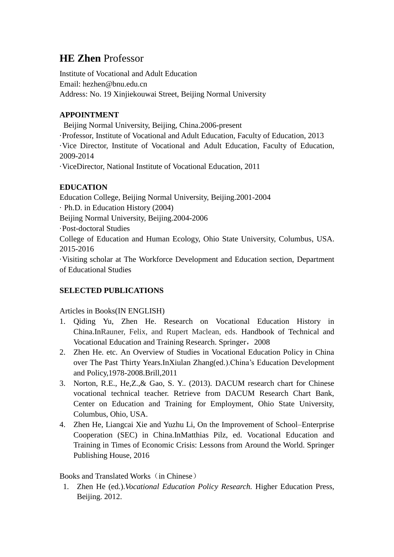# **HE Zhen** Professor

Institute of Vocational and Adult Education Email: hezhen@bnu.edu.cn Address: No. 19 Xinjiekouwai Street, Beijing Normal University

### **APPOINTMENT**

Beijing Normal University, Beijing, China.2006-present ·Professor, Institute of Vocational and Adult Education, Faculty of Education, 2013 ·Vice Director, Institute of Vocational and Adult Education, Faculty of Education, 2009-2014 ·ViceDirector, National Institute of Vocational Education, 2011

## **EDUCATION**

Education College, Beijing Normal University, Beijing.2001-2004 · Ph.D. in Education History (2004) Beijing Normal University, Beijing.2004-2006 Post-doctoral Studies College of Education and Human Ecology, Ohio State University, Columbus, USA. 2015-2016 ·Visiting scholar at The Workforce Development and Education section, Department of Educational Studies

#### **SELECTED PUBLICATIONS**

#### Articles in Books(IN ENGLISH)

- 1. Qiding Yu, Zhen He. Research on Vocational Education History in China.InRauner, Felix, and Rupert Maclean, eds. Handbook of Technical and Vocational Education and Training Research. Springer, 2008
- 2. Zhen He. etc. An Overview of Studies in Vocational Education Policy in China over The Past Thirty Years.InXiulan Zhang(ed.).China's Education Development and Policy,1978-2008.Brill,2011
- 3. Norton, R.E., He,Z.,& Gao, S. Y.. (2013). DACUM research chart for Chinese vocational technical teacher. Retrieve from DACUM Research Chart Bank, Center on Education and Training for Employment, Ohio State University, Columbus, Ohio, USA.
- 4. Zhen He, Liangcai Xie and Yuzhu Li, On the Improvement of School–Enterprise Cooperation (SEC) in China.InMatthias Pilz, ed. Vocational Education and Training in Times of Economic Crisis: Lessons from Around the World. Springer Publishing House, 2016

#### Books and Translated Works (in Chinese)

1. Zhen He (ed.).*Vocational Education Policy Research.* Higher Education Press, Beijing. 2012.